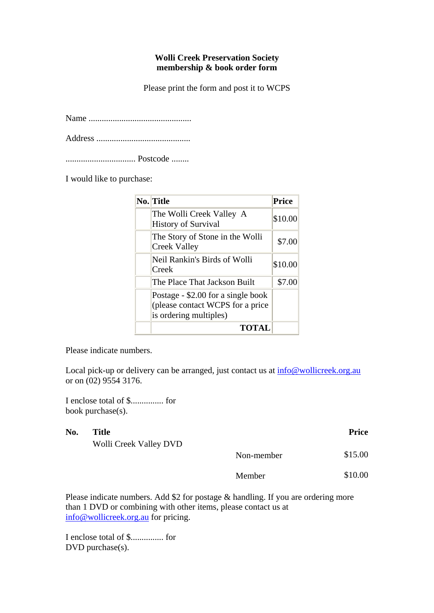## **Wolli Creek Preservation Society membership & book order form**

Please print the form and post it to WCPS

Name ...............................................

Address ...........................................

................................ Postcode ........

I would like to purchase:

| No. Title                                                                                        | <b>Price</b> |
|--------------------------------------------------------------------------------------------------|--------------|
| The Wolli Creek Valley A<br><b>History of Survival</b>                                           | \$10.00      |
| The Story of Stone in the Wolli<br>Creek Valley                                                  | \$7.00       |
| Neil Rankin's Birds of Wolli<br>Creek                                                            | \$10.00      |
| The Place That Jackson Built                                                                     | \$7.00       |
| Postage - \$2.00 for a single book<br>(please contact WCPS for a price<br>is ordering multiples) |              |
| <b>TOTAL</b>                                                                                     |              |

Please indicate numbers.

Local pick-up or delivery can be arranged, just contact us at info@wollicreek.org.au or on (02) 9554 3176.

I enclose total of \$............... for book purchase(s).

| No. | Title                  |            | <b>Price</b> |
|-----|------------------------|------------|--------------|
|     | Wolli Creek Valley DVD |            |              |
|     |                        | Non-member | \$15.00      |
|     |                        | Member     | \$10.00      |

Please indicate numbers. Add \$2 for postage & handling. If you are ordering more than 1 DVD or combining with other items, please contact us at info@wollicreek.org.au for pricing.

I enclose total of \$............... for DVD purchase(s).